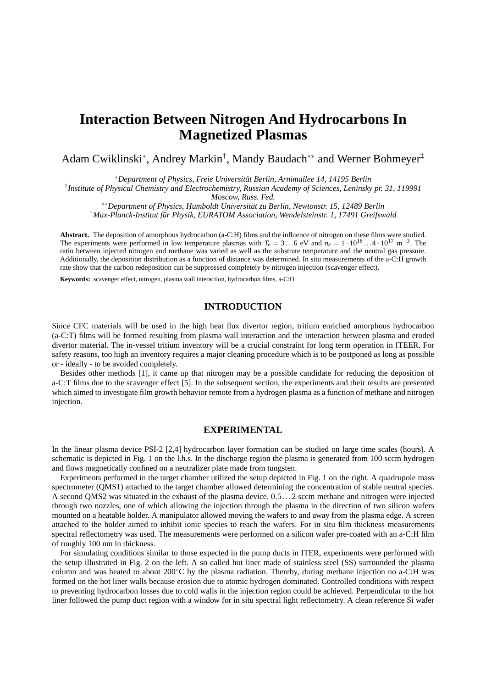# **Interaction Between Nitrogen And Hydrocarbons In Magnetized Plasmas**

Adam Cwiklinski<sup>∗</sup> , Andrey Markin† , Mandy Baudach∗∗ and Werner Bohmeyer‡

<sup>∗</sup>*Department of Physics, Freie Universität Berlin, Arnimallee 14, 14195 Berlin*

† *Institute of Physical Chemistry and Electrochemistry, Russian Academy of Sciences, Leninsky pr. 31, 119991*

*Moscow, Russ. Fed.*

∗∗*Department of Physics, Humboldt Universität zu Berlin, Newtonstr. 15, 12489 Berlin*

‡*Max-Planck-Institut für Physik, EURATOM Association, Wendelsteinstr. 1, 17491 Greifswald*

**Abstract.** The deposition of amorphous hydrocarbon (a-C:H) films and the influence of nitrogen on these films were studied. The experiments were performed in low temperature plasmas with  $T_e = 3...6$  eV and  $n_e = 1 \cdot 10^{16}...4 \cdot 10^{17}$  m<sup>-3</sup>. The ratio between injected nitrogen and methane was varied as well as the substrate temperature and the neutral gas pressure. Additionally, the deposition distribution as a function of distance was determined. In situ measurements of the a-C:H growth rate show that the carbon redeposition can be suppressed completely by nitrogen injection (scavenger effect).

**Keywords:** scavenger effect, nitrogen, plasma wall interaction, hydrocarbon films, a-C:H

#### **INTRODUCTION**

Since CFC materials will be used in the high heat flux divertor region, tritium enriched amorphous hydrocarbon (a-C:T) films will be formed resulting from plasma wall interaction and the interaction between plasma and eroded divertor material. The in-vessel tritium inventory will be a crucial constraint for long term operation in ITEER. For safety reasons, too high an inventory requires a major cleaning procedure which is to be postponed as long as possible or - ideally - to be avoided completely.

Besides other methods [1], it came up that nitrogen may be a possible candidate for reducing the deposition of a-C:T films due to the scavenger effect [5]. In the subsequent section, the experiments and their results are presented which aimed to investigate film growth behavior remote from a hydrogen plasma as a function of methane and nitrogen injection.

## **EXPERIMENTAL**

In the linear plasma device PSI-2 [2,4] hydrocarbon layer formation can be studied on large time scales (hours). A schematic is depicted in Fig. 1 on the l.h.s. In the discharge region the plasma is generated from 100 sccm hydrogen and flows magnetically confined on a neutralizer plate made from tungsten.

Experiments performed in the target chamber utilized the setup depicted in Fig. 1 on the right. A quadrupole mass spectrometer (QMS1) attached to the target chamber allowed determining the concentration of stable neutral species. A second QMS2 was situated in the exhaust of the plasma device. 0.5...2 sccm methane and nitrogen were injected through two nozzles, one of which allowing the injection through the plasma in the direction of two silicon wafers mounted on a heatable holder. A manipulator allowed moving the wafers to and away from the plasma edge. A screen attached to the holder aimed to inhibit ionic species to reach the wafers. For in situ film thickness measurements spectral reflectometry was used. The measurements were performed on a silicon wafer pre-coated with an a-C:H film of roughly 100 nm in thickness.

For simulating conditions similar to those expected in the pump ducts in ITER, experiments were performed with the setup illustrated in Fig. 2 on the left. A so called hot liner made of stainless steel (SS) surrounded the plasma column and was heated to about 200◦C by the plasma radiation. Thereby, during methane injection no a-C:H was formed on the hot liner walls because erosion due to atomic hydrogen dominated. Controlled conditions with respect to preventing hydrocarbon losses due to cold walls in the injection region could be achieved. Perpendicular to the hot liner followed the pump duct region with a window for in situ spectral light reflectometry. A clean reference Si wafer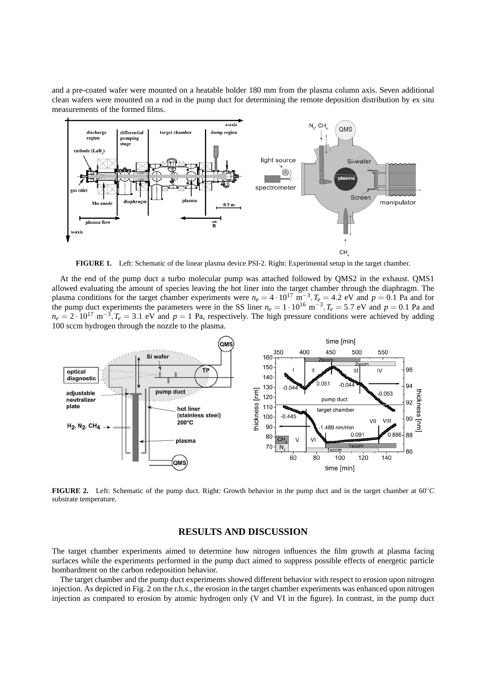and a pre-coated wafer were mounted on a heatable holder 180 mm from the plasma column axis. Seven additional clean wafers were mounted on a rod in the pump duct for determining the remote deposition distribution by ex situ measurements of the formed films.



**FIGURE 1.** Left: Schematic of the linear plasma device PSI-2. Right: Experimental setup in the target chamber.

At the end of the pump duct a turbo molecular pump was attached followed by QMS2 in the exhaust. QMS1 allowed evaluating the amount of species leaving the hot liner into the target chamber through the diaphragm. The plasma conditions for the target chamber experiments were  $n_e = 4 \cdot 10^{17} \text{ m}^{-3}$ ,  $T_e = 4.2 \text{ eV}$  and  $p = 0.1 \text{ Pa}$  and for the pump duct experiments the parameters were in the SS liner  $n_e = 1 \cdot 10^{16} \text{ m}^{-3}$ ,  $T_e = 5.7 \text{ eV}$  and  $p = 0.1 \text{ Pa}$  and  $n_e = 2 \cdot 10^{17} \text{ m}^{-3}$ ,  $T_e = 3.1 \text{ eV}$  and  $p = 1$  Pa, respectively. The high pressure conditions were achieved by adding 100 sccm hydrogen through the nozzle to the plasma.



**FIGURE 2.** Left: Schematic of the pump duct. Right: Growth behavior in the pump duct and in the target chamber at 60◦*C* substrate temperature.

## **RESULTS AND DISCUSSION**

The target chamber experiments aimed to determine how nitrogen influences the film growth at plasma facing surfaces while the experiments performed in the pump duct aimed to suppress possible effects of energetic particle bombardment on the carbon redeposition behavior.

The target chamber and the pump duct experiments showed different behavior with respect to erosion upon nitrogen injection. As depicted in Fig. 2 on the r.h.s., the erosion in the target chamber experiments was enhanced upon nitrogen injection as compared to erosion by atomic hydrogen only (V and VI in the figure). In contrast, in the pump duct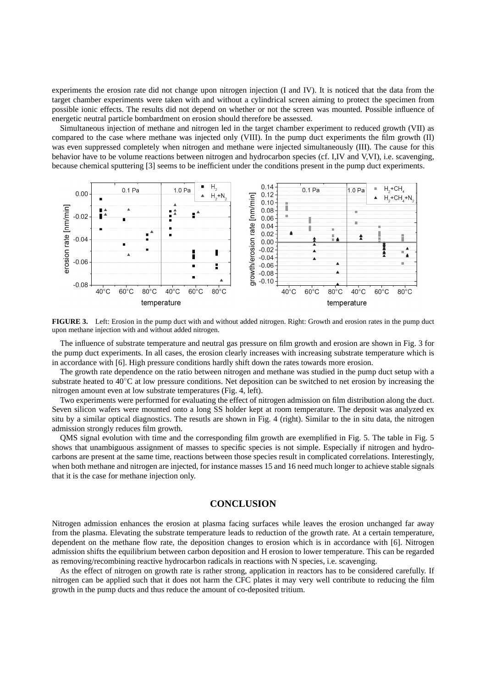experiments the erosion rate did not change upon nitrogen injection (I and IV). It is noticed that the data from the target chamber experiments were taken with and without a cylindrical screen aiming to protect the specimen from possible ionic effects. The results did not depend on whether or not the screen was mounted. Possible influence of energetic neutral particle bombardment on erosion should therefore be assessed.

Simultaneous injection of methane and nitrogen led in the target chamber experiment to reduced growth (VII) as compared to the case where methane was injected only (VIII). In the pump duct experiments the film growth (II) was even suppressed completely when nitrogen and methane were injected simultaneously (III). The cause for this behavior have to be volume reactions between nitrogen and hydrocarbon species (cf. I,IV and V,VI), i.e. scavenging, because chemical sputtering [3] seems to be inefficient under the conditions present in the pump duct experiments.



**FIGURE 3.** Left: Erosion in the pump duct with and without added nitrogen. Right: Growth and erosion rates in the pump duct upon methane injection with and without added nitrogen.

The influence of substrate temperature and neutral gas pressure on film growth and erosion are shown in Fig. 3 for the pump duct experiments. In all cases, the erosion clearly increases with increasing substrate temperature which is in accordance with [6]. High pressure conditions hardly shift down the rates towards more erosion.

The growth rate dependence on the ratio between nitrogen and methane was studied in the pump duct setup with a substrate heated to 40◦C at low pressure conditions. Net deposition can be switched to net erosion by increasing the nitrogen amount even at low substrate temperatures (Fig. 4, left).

Two experiments were performed for evaluating the effect of nitrogen admission on film distribution along the duct. Seven silicon wafers were mounted onto a long SS holder kept at room temperature. The deposit was analyzed ex situ by a similar optical diagnostics. The resutls are shown in Fig. 4 (right). Similar to the in situ data, the nitrogen admission strongly reduces film growth.

QMS signal evolution with time and the corresponding film growth are exemplified in Fig. 5. The table in Fig. 5 shows that unambiguous assignment of masses to specific species is not simple. Especially if nitrogen and hydrocarbons are present at the same time, reactions between those species result in complicated correlations. Interestingly, when both methane and nitrogen are injected, for instance masses 15 and 16 need much longer to achieve stable signals that it is the case for methane injection only.

#### **CONCLUSION**

Nitrogen admission enhances the erosion at plasma facing surfaces while leaves the erosion unchanged far away from the plasma. Elevating the substrate temperature leads to reduction of the growth rate. At a certain temperature, dependent on the methane flow rate, the deposition changes to erosion which is in accordance with [6]. Nitrogen admission shifts the equilibrium between carbon deposition and H erosion to lower temperature. This can be regarded as removing/recombining reactive hydrocarbon radicals in reactions with N species, i.e. scavenging.

As the effect of nitrogen on growth rate is rather strong, application in reactors has to be considered carefully. If nitrogen can be applied such that it does not harm the CFC plates it may very well contribute to reducing the film growth in the pump ducts and thus reduce the amount of co-deposited tritium.